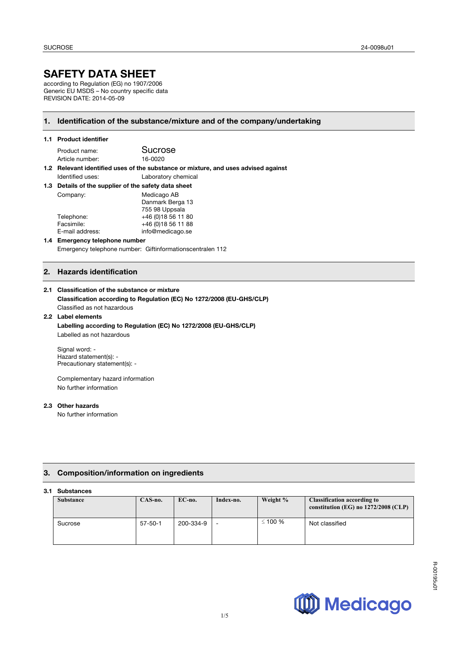# **SAFETY DATA SHEET**

according to Regulation (EG) no 1907/2006 Generic EU MSDS – No country specific data REVISION DATE: 2014-05-09

# **1. Identification of the substance/mixture and of the company/undertaking**

#### **1.1 Product identifier**

| Product name:   | Sucrose |
|-----------------|---------|
| Article number: | 16-0020 |

**1.2 Relevant identified uses of the substance or mixture, and uses advised against**  Identified uses: Laboratory chemical

| 1.3 Details of the supplier of the safety data sheet |                  |  |
|------------------------------------------------------|------------------|--|
| Company:                                             | Medicago AB      |  |
|                                                      | Danmark Berga 13 |  |

|                 | Dallillain Deiya Tu |
|-----------------|---------------------|
|                 | 755 98 Uppsala      |
| Telephone:      | +46 (0) 18 56 11 80 |
| Facsimile:      | +46 (0) 18 56 11 88 |
| E-mail address: | info@medicago.se    |
|                 |                     |

#### **1.4 Emergency telephone number**  Emergency telephone number: Giftinformationscentralen 112

# **2. Hazards identification**

### **2.1 Classification of the substance or mixture**

**Classification according to Regulation (EC) No 1272/2008 (EU-GHS/CLP)** Classified as not hazardous

#### **2.2 Label elements Labelling according to Regulation (EC) No 1272/2008 (EU-GHS/CLP)** Labelled as not hazardous

Signal word: - Hazard statement(s): - Precautionary statement(s): -

Complementary hazard information No further information

### **2.3 Other hazards**

No further information

# **3. Composition/information on ingredients**

#### **3.1 Substances**

| ,,,,,,,,,,,,,,   |               |           |           |              |                                                                              |
|------------------|---------------|-----------|-----------|--------------|------------------------------------------------------------------------------|
| <b>Substance</b> | CAS-no.       | $EC$ -no. | Index-no. | Weight %     | <b>Classification according to</b><br>constitution (EG) no $1272/2008$ (CLP) |
| Sucrose          | $57 - 50 - 1$ | 200-334-9 |           | $\leq$ 100 % | Not classified                                                               |

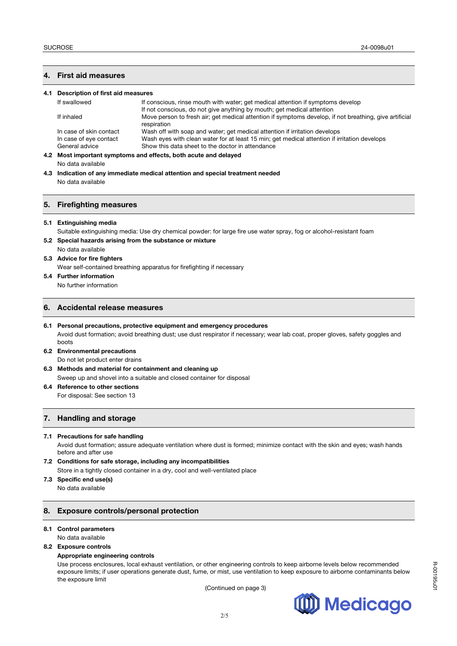# **4. First aid measures**

| 4.1 Description of first aid measures                                          |                                                                                                                       |  |  |
|--------------------------------------------------------------------------------|-----------------------------------------------------------------------------------------------------------------------|--|--|
| If swallowed                                                                   | If conscious, rinse mouth with water; get medical attention if symptoms develop                                       |  |  |
|                                                                                | If not conscious, do not give anything by mouth; get medical attention                                                |  |  |
| If inhaled                                                                     | Move person to fresh air; get medical attention if symptoms develop, if not breathing, give artificial<br>respiration |  |  |
| In case of skin contact                                                        | Wash off with soap and water; get medical attention if irritation develops                                            |  |  |
| In case of eye contact                                                         | Wash eyes with clean water for at least 15 min; get medical attention if irritation develops                          |  |  |
| General advice                                                                 | Show this data sheet to the doctor in attendance                                                                      |  |  |
|                                                                                | 4.2 Most important symptoms and effects, both acute and delayed                                                       |  |  |
| No data available                                                              |                                                                                                                       |  |  |
| 4.3 Indication of any immediate medical attention and special treatment needed |                                                                                                                       |  |  |
|                                                                                |                                                                                                                       |  |  |

No data available

### **5. Firefighting measures**

#### **5.1 Extinguishing media**

Suitable extinguishing media: Use dry chemical powder: for large fire use water spray, fog or alcohol-resistant foam

- **5.2 Special hazards arising from the substance or mixture**  No data available
- **5.3 Advice for fire fighters**

Wear self-contained breathing apparatus for firefighting if necessary

**5.4 Further information** No further information

#### **6. Accidental release measures**

- **6.1 Personal precautions, protective equipment and emergency procedures** Avoid dust formation; avoid breathing dust; use dust respirator if necessary; wear lab coat, proper gloves, safety goggles and boots
- **6.2 Environmental precautions**  Do not let product enter drains
- **6.3 Methods and material for containment and cleaning up**  Sweep up and shovel into a suitable and closed container for disposal
- **6.4 Reference to other sections**  For disposal: See section 13

# **7. Handling and storage**

#### **7.1 Precautions for safe handling**

Avoid dust formation; assure adequate ventilation where dust is formed; minimize contact with the skin and eyes; wash hands before and after use

- **7.2 Conditions for safe storage, including any incompatibilities**  Store in a tightly closed container in a dry, cool and well-ventilated place
- **7.3 Specific end use(s)**  No data available

#### **8. Exposure controls/personal protection**

#### **8.1 Control parameters**

No data available

**8.2 Exposure controls** 

#### **Appropriate engineering controls**

Use process enclosures, local exhaust ventilation, or other engineering controls to keep airborne levels below recommended exposure limits; if user operations generate dust, fume, or mist, use ventilation to keep exposure to airborne contaminants below the exposure limit

(Continued on page 3)

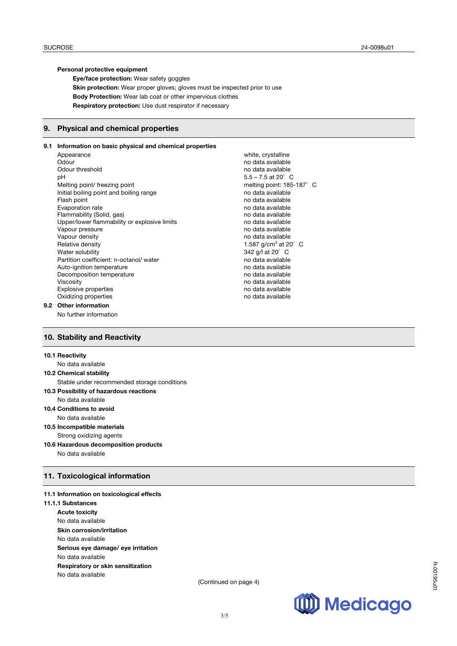#### **Personal protective equipment**

**Eye/face protection:** Wear safety goggles **Skin protection:** Wear proper gloves; gloves must be inspected prior to use **Body Protection:** Wear lab coat or other impervious clothes **Respiratory protection:** Use dust respirator if necessary

#### **9. Physical and chemical properties**

# **9.1 Information on basic physical and chemical properties**

Appearance white, crystalline Odour data available contract to the contract of the contract of the contract of the contract of the contract of the contract of the contract of the contract of the contract of the contract of the contract of the contract Odour threshold and available no data available no data available pH  $5.5 - 7.5$  at 20 $^{\circ}$  C Melting point/ freezing point method is a melting point: 185-187°C Initial boiling point and boiling range no data available Flash point no data available no data available Evaporation rate no data available no data available Flammability (Solid, gas)<br>
Upper/lower flammability or explosive limits<br>
no data available Upper/lower flammability or explosive limits Vapour pressure no data available no data available Vapour density and the state of the state of the state of the state of the state of the value of the value of the value of the value of the value of the value of the value of the value of the value of the value of the valu Relative density **1.587 g/cm<sup>3</sup> at 20°** C Water solubility 342 g/l at 20°C Partition coefficient: n-octanol/ water no data available Auto-ignition temperature no data available Decomposition temperature no data available no data available Viscosity **Niscosity** no data available Explosive properties no data available Oxidizing properties no data available

#### **9.2 Other information**  No further information

# **10. Stability and Reactivity**

#### **10.1 Reactivity**

| No data available                           |
|---------------------------------------------|
| <b>10.2 Chemical stability</b>              |
| Stable under recommended storage conditions |
| 10.3 Possibility of hazardous reactions     |
| No data available                           |
| 10.4 Conditions to avoid                    |
| No data available                           |
| 10.5 Incompatible materials                 |
| Strong oxidizing agents                     |
| 10.6 Hazardous decomposition products       |
| No data available                           |

# **11. Toxicological information**

# **11.1 Information on toxicological effects**

**11.1.1 Substances Acute toxicity** No data available **Skin corrosion/irritation** No data available **Serious eye damage/ eye irritation** No data available **Respiratory or skin sensitization** No data available

(Continued on page 4)



R-00195u01

R-00195u0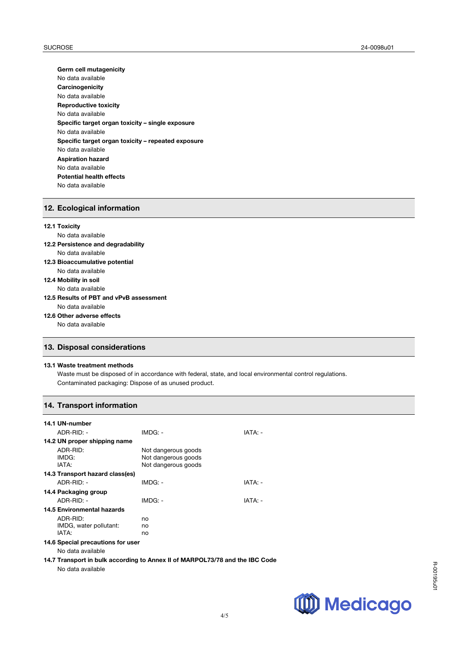**Germ cell mutagenicity** No data available **Carcinogenicity** No data available **Reproductive toxicity** No data available **Specific target organ toxicity – single exposure** No data available **Specific target organ toxicity – repeated exposure** No data available **Aspiration hazard** No data available **Potential health effects**  No data available

### **12. Ecological information**

# **12.1 Toxicity** No data available **12.2 Persistence and degradability** No data available

- **12.3 Bioaccumulative potential**
	- No data available
- **12.4 Mobility in soil** No data available

# **12.5 Results of PBT and vPvB assessment** No data available

**12.6 Other adverse effects**

No data available

# **13. Disposal considerations**

### **13.1 Waste treatment methods**

Waste must be disposed of in accordance with federal, state, and local environmental control regulations. Contaminated packaging: Dispose of as unused product.

# **14. Transport information**

| 14.1 UN-number                    |                                                                              |         |  |  |
|-----------------------------------|------------------------------------------------------------------------------|---------|--|--|
| ADR-RID: -                        | $IMDG: -$                                                                    | IATA: - |  |  |
| 14.2 UN proper shipping name      |                                                                              |         |  |  |
| ADR-RID:<br>IMDG:<br>IATA:        | Not dangerous goods<br>Not dangerous goods<br>Not dangerous goods            |         |  |  |
| 14.3 Transport hazard class(es)   |                                                                              |         |  |  |
| $ADR-RID: -$                      | $IMDG: -$                                                                    | IATA: - |  |  |
| 14.4 Packaging group              |                                                                              |         |  |  |
| $ADR-RID: -$                      | $IMDG: -$                                                                    | IATA: - |  |  |
| 14.5 Environmental hazards        |                                                                              |         |  |  |
| ADR-RID:                          | no                                                                           |         |  |  |
| IMDG, water pollutant:            | no                                                                           |         |  |  |
| IATA:                             | no                                                                           |         |  |  |
| 14.6 Special precautions for user |                                                                              |         |  |  |
| No data available                 |                                                                              |         |  |  |
| No data available                 | 14.7 Transport in bulk according to Annex II of MARPOL73/78 and the IBC Code |         |  |  |